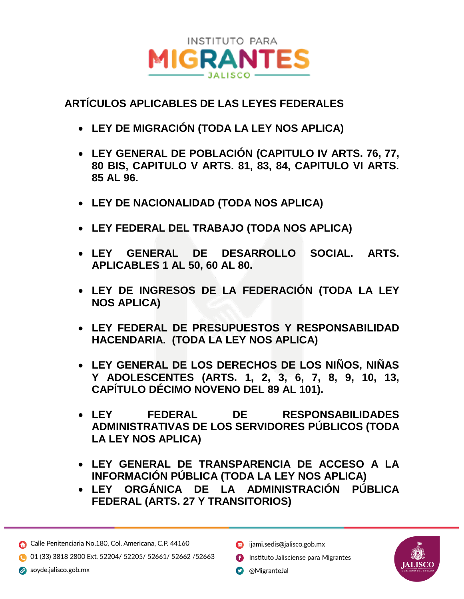

## **ARTÍCULOS APLICABLES DE LAS LEYES FEDERALES**

- **LEY DE MIGRACIÓN (TODA LA LEY NOS APLICA)**
- **LEY GENERAL DE POBLACIÓN (CAPITULO IV ARTS. 76, 77, 80 BIS, CAPITULO V ARTS. 81, 83, 84, CAPITULO VI ARTS. 85 AL 96.**
- **LEY DE NACIONALIDAD (TODA NOS APLICA)**
- **LEY FEDERAL DEL TRABAJO (TODA NOS APLICA)**
- **LEY GENERAL DE DESARROLLO SOCIAL. ARTS. APLICABLES 1 AL 50, 60 AL 80.**
- **LEY DE INGRESOS DE LA FEDERACIÓN (TODA LA LEY NOS APLICA)**
- **LEY FEDERAL DE PRESUPUESTOS Y RESPONSABILIDAD HACENDARIA. (TODA LA LEY NOS APLICA)**
- **LEY GENERAL DE LOS DERECHOS DE LOS NIÑOS, NIÑAS Y ADOLESCENTES (ARTS. 1, 2, 3, 6, 7, 8, 9, 10, 13, CAPÍTULO DÉCIMO NOVENO DEL 89 AL 101).**
- **LEY FEDERAL DE RESPONSABILIDADES ADMINISTRATIVAS DE LOS SERVIDORES PÚBLICOS (TODA LA LEY NOS APLICA)**
- **LEY GENERAL DE TRANSPARENCIA DE ACCESO A LA INFORMACIÓN PÚBLICA (TODA LA LEY NOS APLICA)**
- **LEY ORGÁNICA DE LA ADMINISTRACIÓN PÚBLICA FEDERAL (ARTS. 27 Y TRANSITORIOS)**

Calle Penitenciaria No.180, Col. Americana, C.P. 44160

01 (33) 3818 2800 Ext. 52204/ 52205/ 52661/ 52662 /52663

 $\oslash$  soyde.jalisco.gob.mx

- s ijami.sedis@jalisco.gob.mx
- **Contract in the Instituto Jalisciense para Migrantes**
- **O** @MigranteJal